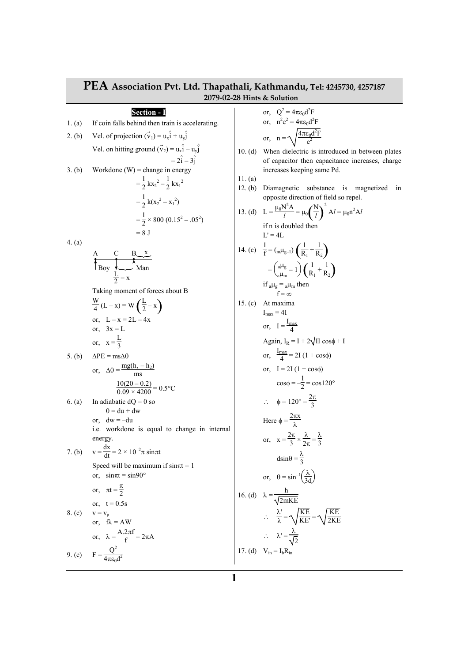| PEA Association Pvt. Ltd. Thapathali, Kathmandu, Tel: 4245730, 4257187<br>2079-02-28 Hints & Solution |                                                                                             |                      |                                                                                                                         |  |  |
|-------------------------------------------------------------------------------------------------------|---------------------------------------------------------------------------------------------|----------------------|-------------------------------------------------------------------------------------------------------------------------|--|--|
|                                                                                                       | <b>Section - I</b>                                                                          |                      | or, $Q^2 = 4\pi \epsilon_0 d^2 F$                                                                                       |  |  |
| 1. (a)                                                                                                | If coin falls behind then train is accelerating.                                            |                      | or, $n^2 e^2 = 4\pi \epsilon_0 d^2 F$                                                                                   |  |  |
| 2. (b)                                                                                                | Vel. of projection $(\vec{v}_1) = u_x \hat{i} + u_y \hat{j}$                                |                      | or, $n = \sqrt{\frac{4\pi\epsilon_0 d^2F}{a^2}}$                                                                        |  |  |
|                                                                                                       | Vel. on hitting ground $(\vec{v}_2) = u_x \hat{i} - u_y \hat{j}$<br>$= 2\hat{i} - 3\hat{i}$ | 10. $(d)$            | When dielectric is introduced in between plates                                                                         |  |  |
| 3. (b)                                                                                                | Workdone $(W)$ = change in energy                                                           |                      | of capacitor then capacitance increases, charge<br>increases keeping same Pd.                                           |  |  |
|                                                                                                       | $=\frac{1}{2}kx_2^2-\frac{1}{2}kx_1^2$<br>$=\frac{1}{2}k(x_2^2-x_1^2)$                      | 11. $(a)$<br>12. (b) | Diamagnetic substance is magnetized<br>ın<br>opposite direction of field so repel.                                      |  |  |
|                                                                                                       | $=\frac{1}{2}\times 800 (0.15^2 - 0.05^2)$                                                  |                      | 13. (d) $L = \frac{\mu_0 N^2 A}{l} = \mu_0 \left(\frac{N}{l}\right)^2 A l = \mu_0 n^2 A l$                              |  |  |
|                                                                                                       | $= 8$ J                                                                                     |                      | if n is doubled then<br>$L' = 4L$                                                                                       |  |  |
| 4. (a)                                                                                                |                                                                                             |                      | 14. (c) $\frac{1}{f} = (\text{m}\mu_{g-1})\left(\frac{1}{R_1} + \frac{1}{R_2}\right)$                                   |  |  |
|                                                                                                       | $A \n C \n B \n X$<br>Boy<br>$\frac{L}{2}$ – x                                              |                      | $=\left(\frac{d\mu_{g}}{d\mu_{m}}-1\right)\left(\frac{1}{R_{1}}+\frac{1}{R_{2}}\right)$                                 |  |  |
|                                                                                                       | Taking moment of forces about B                                                             |                      | if $_{a}\mu_{g} =_{a}\mu_{m}$ then<br>$f = \infty$                                                                      |  |  |
|                                                                                                       | $\frac{w}{4}(L-x) = W\left(\frac{L}{2}-x\right)$                                            | 15. (c)              | At maxima<br>$I_{\text{max}} = 4I$                                                                                      |  |  |
|                                                                                                       | or, $L - x = 2L - 4x$<br>or, $3x = L$                                                       |                      | or, $I = \frac{I_{\text{max}}}{4}$                                                                                      |  |  |
|                                                                                                       | or, $x = \frac{L}{2}$                                                                       |                      | Again, $I_R = I + 2\sqrt{II} \cos \phi + I$                                                                             |  |  |
| 5. (b)                                                                                                | $\Delta PE = ms\Delta\theta$                                                                |                      | or, $\frac{I_{\text{max}}}{4} = 2I(1 + \cos \phi)$                                                                      |  |  |
|                                                                                                       | or, $\Delta\theta = \frac{mg(h, -h_2)}{mg}$                                                 |                      | or, $I = 2I(1 + cos\phi)$<br>$\cos\phi = -\frac{1}{2} = \cos 120^\circ$                                                 |  |  |
|                                                                                                       | $\frac{10(20-0.2)}{0.09 \times 4200} = 0.5$ °C                                              |                      |                                                                                                                         |  |  |
| 6. (a)                                                                                                | In adiabatic $dQ = 0$ so<br>$0 = du + dw$                                                   |                      | $\therefore \quad \phi = 120^{\circ} = \frac{2\pi}{3}$                                                                  |  |  |
|                                                                                                       | or, $dw = -du$<br>i.e. workdone is equal to change in internal                              |                      | Here $\phi = \frac{2\pi x}{\lambda}$                                                                                    |  |  |
| 7. (b)                                                                                                | energy.<br>$v = \frac{dx}{dt} = 2 \times 10^{-2} \pi \sin \pi t$                            |                      | or, $x = \frac{2\pi}{3} \times \frac{\lambda}{2\pi} = \frac{\lambda}{3}$                                                |  |  |
|                                                                                                       | Speed will be maximum if $sin \pi t = 1$                                                    |                      | $dsin\theta = \frac{\lambda}{3}$                                                                                        |  |  |
|                                                                                                       | or, $sin \pi t = sin 90^\circ$                                                              |                      | or, $\theta = \sin^{-1} \left( \frac{\lambda}{3d} \right)$                                                              |  |  |
|                                                                                                       | or, $\pi t = \frac{\pi}{2}$<br>or, $t = 0.5s$                                               |                      | 16. (d) $\lambda = \frac{h}{\sqrt{2mKE}}$                                                                               |  |  |
| 8. (c)                                                                                                | $v = v_p$<br>or, $f\lambda = AW$                                                            |                      | $\therefore \quad \frac{\lambda'}{\lambda} = \sqrt{\frac{\text{KE}}{\text{KE}}} = \sqrt{\frac{\text{KE}}{2 \text{KE}}}$ |  |  |
|                                                                                                       | or, $\lambda = \frac{A.2\pi f}{f} = 2\pi A$                                                 |                      | $\therefore \quad \lambda' = \frac{\lambda}{\sqrt{2}}$                                                                  |  |  |
|                                                                                                       | 9. (c) $F = \frac{Q^2}{4\pi \epsilon_0 d^2}$                                                |                      | 17. (d) $V_{in} = I_b R_{in}$                                                                                           |  |  |
|                                                                                                       |                                                                                             |                      |                                                                                                                         |  |  |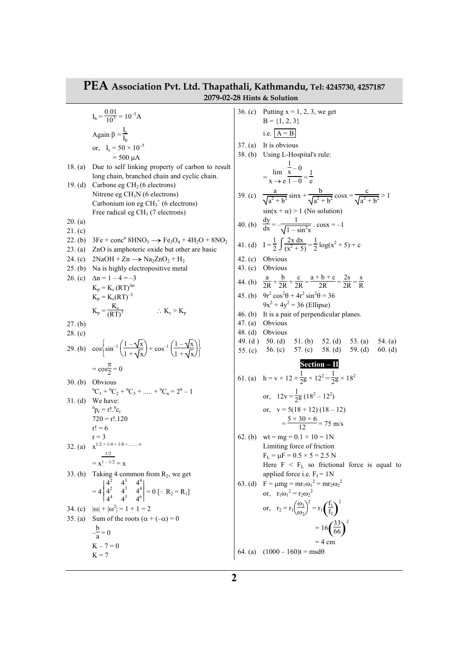## **PEA Association Pvt. Ltd. Thapathali, Kathmandu, Tel: 4245730, 4257187 2079-02-28 Hints & Solution**

 $I_b = \frac{0.01}{10^3} = 10^{-5} A$ Again β =  $\frac{I_c}{I}$  $I_b$ or,  $I_c = 50 \times 10^{-5}$  $= 500 \mu A$ 18. (a) Due to self linking property of carbon to result long chain, branched chain and cyclic chain. 19. (d) Carbone eg  $CH<sub>2</sub>$  (6 electrons) Nitrene eg  $CH<sub>3</sub>N$  (6 electrons) Carbonium ion eg  $CH<sub>3</sub><sup>+</sup>$  (6 electrons) Free radical eg  $CH<sub>3</sub>$  (7 electrons) 20. (a) 21. (c) 22. (b)  $3Fe + conc^n 8HNO_3 \rightarrow Fe_3O_4 + 4H_2O + 8NO_2$ 23. (a) ZnO is amphoteric oxide but other are basic 24. (c)  $2\text{NaOH} + \text{Zn} \longrightarrow \text{Na}_2\text{ZnO}_2 + \text{H}_2$ 25. (b) Na is highly electropositive metal 26. (c)  $\Delta n = 1 - 4 = -3$  $K_p = K_c (RT)^{\Delta n}$  $K_p = K_c (RT)^{-3}$  $K_p = \frac{K_c}{(RT)}$  $\frac{K_c}{(RT)^3}$  ∴ K<sub>c</sub> > K<sub>p</sub> 27. (b) 28. (c) 29. (b)  $\cos\left\{ \frac{1}{2} \right\}$  $\sin^{-1}\left(\frac{1-\sqrt{x}}{1+\sqrt{x}}\right) + \cos^{-1}\left(\frac{1-\sqrt{x}}{1+\sqrt{x}}\right)$ J  $\frac{1-\sqrt{x}}{2}$  $\frac{1-\sqrt{x}}{1+\sqrt{x}}+cos^{-1}\left(\frac{1}{x}\right)$ J  $\frac{1-\sqrt{x}}{2}$  $1 + \sqrt{x}$  $=$  cos $\frac{\pi}{2}$  $\frac{\pi}{2} = 0$ 30. (b) Obvious  ${}^{n}C_1 + {}^{n}C_2 + {}^{n}C_3 + \dots + {}^{n}C_n = 2^n - 1$ 31. (d) We have:  ${}^{\rm n}p_{\rm r}$  = r!.  ${}^{\rm n}c_{\rm r}$  $720 = r!/120$  $r! = 6$  $r = 3$ 32. (a)  $x^{1/2 + 1/4 + 1/8 + \dots \infty}$  $=$  x 1/2  $1 - 1/2 = x$ 33. (b) Taking 4 common from  $R_2$ , we get  $= 4$  $4^2$   $4^3$   $4^4$ <br>  $4^4$   $4^5$   $4^6$  $4^{2}$  $4^{4}$  $4^{3}$ 4 3  $\frac{4^3}{4^5}$  $4^4$ 4 4  $\begin{bmatrix} 4^4 \\ 4^6 \end{bmatrix} = 0$  [:  $R_2 = R_1$ ] 34. (c)  $|\omega| + |\omega^2| = 1 + 1 = 2$ 35. (a) Sum of the roots  $(\alpha + (-\alpha)) = 0$  $-\frac{b}{a}$  $\frac{a}{a} = 0$  $K - 7 = 0$  $K = 7$ 

36. (c) Putting  $x = 1, 2, 3$ , we get  $B = \{1, 2, 3\}$ i.e.  $A = B$ 37. (a) It is obvious 38. (b) Using L-Hospital's rule:  $=\frac{\lim}{\lim}$  $x \rightarrow e$ 1  $\frac{1}{x}$  – 0  $\frac{x}{1-0} = \frac{1}{e}$ e 39. (c)  $\frac{a}{\sqrt{a^2 + b^2}} \sin x + \frac{b}{\sqrt{a^2 + b^2}} \cos x = \frac{c}{\sqrt{a^2 + b^2}}$  $\frac{c}{a^2 + b^2} > 1$  $sin(x + \alpha) > 1$  (No solution) 40. (b)  $\frac{dy}{dx} = -\frac{1}{\sqrt{1-y^2}}$  $\frac{1}{1-\sin^2 x}$ . cosx = -1 41. (d)  $I = \frac{1}{2} \int \frac{2x \, dx}{(x^2 + 5)}$  $\frac{2x \, dx}{(x^2 + 5)} = \frac{1}{2}$  $\frac{1}{2} \log(x^2 + 5) + c$ 42. (c) Obvious 43. (c) Obvious 44. (b)  $\frac{a}{2R} + \frac{b}{2R} + \frac{c}{2R} = \frac{a+b+c}{2R} = \frac{2s}{2R} = \frac{s}{R}$ R 45. (b)  $9r^2 \cos^2 \theta + 4r^2 \sin^2 \theta = 36$  $9x^2 + 4y^2 = 36$  (Ellipse) 46. (b) It is a pair of perpendicular planes. 47. (a) Obvious 48. (d) Obvious 49. (d ) 50. (d) 51. (b) 52. (d) 53. (a) 54. (a) 55. (c) 56. (c) 57. (c) 58. (d) 59. (d) 60. (d) **Section – II**  61. (a)  $h = v \times 12 + \frac{1}{2}g \times 12^2 = \frac{1}{2}$  $\frac{1}{2}$ g × 18<sup>2</sup> or,  $12v = \frac{1}{2}$  $\frac{1}{2}$ g (18<sup>2</sup> – 12<sup>2</sup>) or,  $v = 5(18 + 12) (18 - 12)$  $=\frac{5\times30\times6}{12}$  = 75 m/s 62. (b) wt = mg =  $0.1 \times 10 = 1$ N Limiting force of friction  $F_L = \mu F = 0.5 \times 5 = 2.5 N$ Here  $F \leq F_L$  so frictional force is equal to applied force i.e.  $F_f = 1N$ 63. (d)  $F = \mu mg = mr_1 \omega_1^2 = mr_2 \omega_2^2$ or,  $r_1 \omega_1^2 = r_2 \omega_2^2$ or,  $r_2 = r_1 \left(\frac{\omega_1}{\omega_2}\right)$  $\omega_2$  $2^{2} = r_{1} \left(\frac{f_{1}}{f_{2}}\right)^{2}$ 2  $= 16 \left( \frac{33}{66} \right)^2$ 2  $= 4 \text{ cm}$ 64. (a)  $(1000 - 160)t = msd\theta$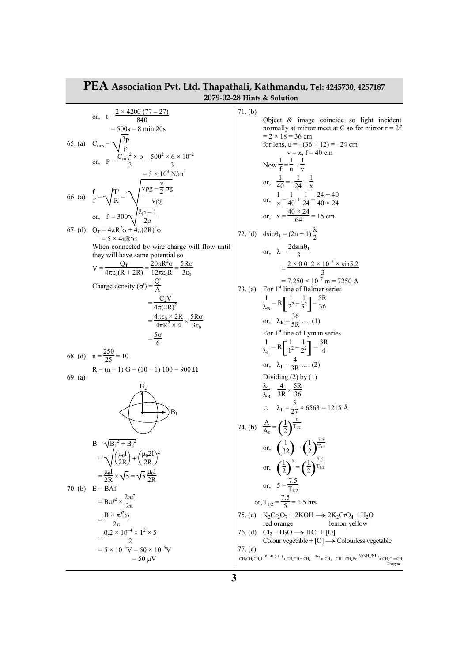| PEA Association Pvt. Ltd. Thapathali, Kathmandu, Tel: 4245730, 4257187<br>2079-02-28 Hints & Solution |                                                                                                                                                                                                                                                                                                                                                                                                                                                                             |                    |                                                                                                                                                                                                                                                                                                                                                                                                                                                                                                                            |  |  |
|-------------------------------------------------------------------------------------------------------|-----------------------------------------------------------------------------------------------------------------------------------------------------------------------------------------------------------------------------------------------------------------------------------------------------------------------------------------------------------------------------------------------------------------------------------------------------------------------------|--------------------|----------------------------------------------------------------------------------------------------------------------------------------------------------------------------------------------------------------------------------------------------------------------------------------------------------------------------------------------------------------------------------------------------------------------------------------------------------------------------------------------------------------------------|--|--|
|                                                                                                       | or, $t = \frac{2 \times 4200 (77 - 27)}{840}$<br>$= 500s = 8 \text{ min } 20s$                                                                                                                                                                                                                                                                                                                                                                                              | 71. (b)            | Object & image coincide so light incident<br>normally at mirror meet at C so for mirror $r = 2f$<br>$= 2 \times 18 = 36$ cm                                                                                                                                                                                                                                                                                                                                                                                                |  |  |
|                                                                                                       | 65. (a) $C_{\text{rms}} = \sqrt{\frac{3p}{\Omega}}$<br>or, $P = \frac{C_{rms}^2 \times \rho}{3} = \frac{500^2 \times 6 \times 10^{-2}}{3}$<br>$= 5 \times 10^3$ N/m <sup>2</sup>                                                                                                                                                                                                                                                                                            |                    | for lens, $u = -(36 + 12) = -24$ cm<br>$v = x$ , $f = 40$ cm<br>Now $\frac{1}{f} = \frac{1}{v} + \frac{1}{v}$<br>or, $\frac{1}{40} = -\frac{1}{24} + \frac{1}{x}$                                                                                                                                                                                                                                                                                                                                                          |  |  |
|                                                                                                       | 66. (a) $\frac{f}{f} = \sqrt{\frac{T}{R}} = \sqrt{\frac{v\rho g - \frac{v}{2}\sigma g}{v\rho g}}$<br>or, $f = 300 \sqrt{\frac{2p-1}{2p}}$                                                                                                                                                                                                                                                                                                                                   |                    | or, $\frac{1}{x} = \frac{1}{40} + \frac{1}{24} = \frac{24 + 40}{40 \times 24}$<br>or, $x = \frac{40 \times 24}{64} = 15$ cm                                                                                                                                                                                                                                                                                                                                                                                                |  |  |
|                                                                                                       | 67. (d) $Q_T = 4\pi R^2 \sigma + 4\pi (2R)^2 \sigma$<br>$= 5 \times 4\pi R^2 \sigma$<br>When connected by wire charge will flow until<br>they will have same potential so<br>$V = \frac{Q_T}{4\pi\epsilon_0(R+2R)} = \frac{20\pi R^2 \sigma}{12\pi\epsilon_0R} = \frac{5R\sigma}{3\epsilon_0}$<br>Charge density ( $\sigma'$ ) = $\frac{Q'}{\lambda}$<br>$=\frac{C_2V}{4\pi(2R)^2}$<br>$=\frac{4\pi\epsilon_0\times 2R}{4\pi R^2\times A}\times \frac{5R\sigma}{3\epsilon}$ | 73. (a)            | 72. (d) $dsin\theta_1 = (2n + 1)\frac{\lambda}{2}$<br>or, $\lambda = \frac{2d\sin\theta_1}{2}$<br>$=\frac{2\times 0.012\times 10^{-3}\times \sin 5.2}{2}$<br>$= 7.250 \times 10^{-7}$ m = 7250 Å<br>For 1 <sup>st</sup> line of Balmer series<br>$\frac{1}{\lambda_{\rm D}} = R \left[ \frac{1}{2^2} - \frac{1}{3^2} \right] = \frac{5R}{36}$<br>or, $\lambda_B = \frac{36}{5R}$ (1)<br>For $1st$ line of Lyman series                                                                                                     |  |  |
| 69. (a)                                                                                               | $=\frac{5\sigma}{6}$<br>68. (d) $n = \frac{250}{25} = 10$<br>$R = (n - 1) G = (10 - 1) 100 = 900 \Omega$<br>B <sub>2</sub><br>$\mathbf{B}_1$<br>$B = \sqrt{B_1^2 + B_2^2}$<br>$= \sqrt{\left(\frac{\mu_0 I}{2R}\right) + \left(\frac{\mu_0 2I}{2R}\right)^2}$                                                                                                                                                                                                               |                    | $\frac{1}{\lambda_{I}} = R \left[ \frac{1}{1^{2}} - \frac{1}{2^{2}} \right] = \frac{3R}{4}$<br>or, $\lambda_L = \frac{4}{3R}$ (2)<br>Dividing $(2)$ by $(1)$<br>$\frac{\lambda_L}{\lambda_P} = \frac{4}{3R} \times \frac{5R}{36}$<br>$\therefore \quad \lambda_{\rm L} = \frac{5}{27} \times 6563 = 1215 \text{ Å}$<br>74. (b) $\frac{A}{A_0} = \left(\frac{1}{2}\right)^{\frac{1}{T_{1/2}}}$<br>or, $\left(\frac{1}{32}\right) = \left(\frac{1}{2}\right)^{\frac{7.5}{T_{1/2}}}$                                          |  |  |
| $70.$ (b)                                                                                             | $=\frac{\mu_0 I}{2R}\times\sqrt{5}=\sqrt{5}\frac{\mu_0 I}{2R}$<br>$E = BAf$<br>$= B\pi l^2 \times \frac{2\pi f}{2\pi}$<br>$=\frac{B\times\pi l^2\omega}{2\pi}$<br>$=\frac{0.2\times10^{-4}\times1^{2}\times5}{2}$<br>$= 5 \times 10^{-5}$ V = 50 $\times 10^{-6}$ V<br>$= 50 \mu V$                                                                                                                                                                                         | 76. (d)<br>77. (c) | or, $\left(\frac{1}{2}\right)^5 = \left(\frac{1}{2}\right)^{\frac{7.5}{T_{1/2}}}$<br>or, $5 = \frac{7.5}{T_{1/2}}$<br>or, $T_{1/2} = \frac{7.5}{5} = 1.5$ hrs<br>75. (c) $K_2Cr_2O_7 + 2KOH \rightarrow 2K_2CrO_4 + H_2O$<br>red orange<br>lemon yellow<br>$Cl_2 + H_2O \rightarrow HCl + [O]$<br>Colour vegetable + $[O] \rightarrow$ Colourless vegetable<br>$CH_3CH_2CH_2I \xrightarrow{KOH (alc.)} CH_3CH = CH_2 \xrightarrow{Br_2} CH_3-CH-CH_2Br \xrightarrow{\text{NaNH}_2/\text{NH}_3} CH_3C \equiv CH$<br>Propyne |  |  |

F

## **3**